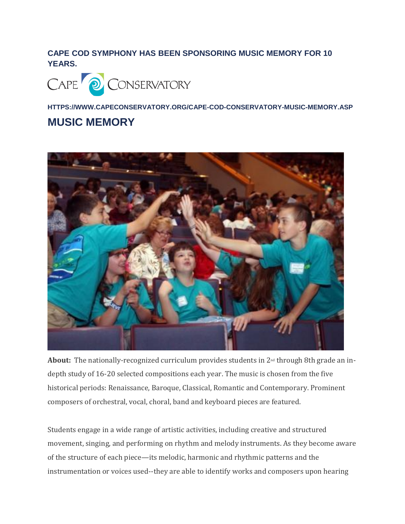## **CAPE COD SYMPHONY HAS BEEN SPONSORING MUSIC MEMORY FOR 10 YEARS.**



**HTTPS://WWW.CAPECONSERVATORY.ORG/CAPE-COD-CONSERVATORY-MUSIC-MEMORY.ASP**

## **MUSIC MEMORY**



**About:** The nationally-recognized curriculum provides students in 2nd through 8th grade an indepth study of 16-20 selected compositions each year. The music is chosen from the five historical periods: Renaissance, Baroque, Classical, Romantic and Contemporary. Prominent composers of orchestral, vocal, choral, band and keyboard pieces are featured.

Students engage in a wide range of artistic activities, including creative and structured movement, singing, and performing on rhythm and melody instruments. As they become aware of the structure of each piece—its melodic, harmonic and rhythmic patterns and the instrumentation or voices used--they are able to identify works and composers upon hearing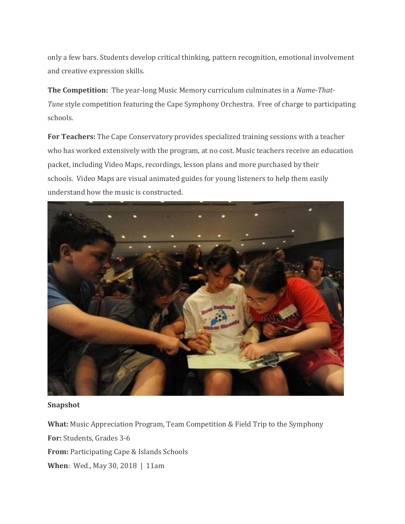only a few bars. Students develop critical thinking, pattern recognition, emotional involvement and creative expression skills.

**The Competition:** The year-long Music Memory curriculum culminates in a *Name-That-Tune* style competition featuring the Cape Symphony Orchestra. Free of charge to participating schools.

**For Teachers:** The Cape Conservatory provides specialized training sessions with a teacher who has worked extensively with the program, at no cost. Music teachers receive an education packet, including Video Maps, recordings, lesson plans and more purchased by their schools. Video Maps are visual animated guides for young listeners to help them easily understand how the music is constructed.



**Snapshot**

**What:** Music Appreciation Program, Team Competition & Field Trip to the Symphony

**For:** Students, Grades 3-6

**From:** Participating Cape & Islands Schools

**When**: Wed., May 30, 2018 | 11am